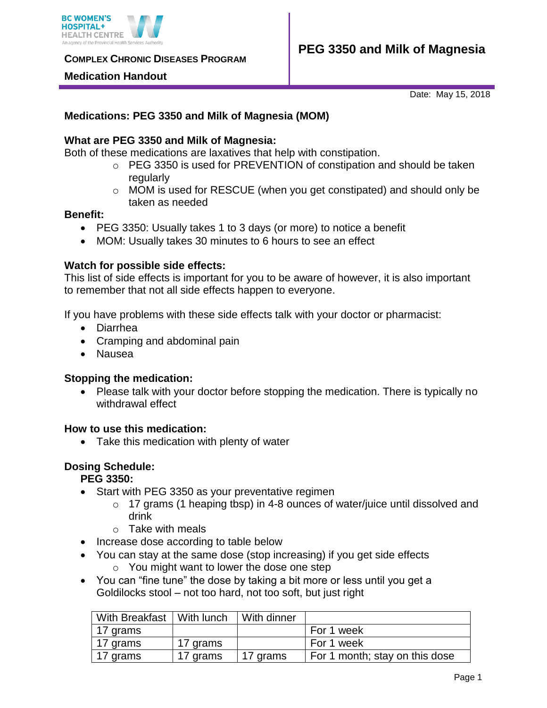

**COMPLEX CHRONIC DISEASES PROGRAM** 

#### **Medication Handout**

Date: May 15, 2018

# **Medications: PEG 3350 and Milk of Magnesia (MOM)**

## **What are PEG 3350 and Milk of Magnesia:**

Both of these medications are laxatives that help with constipation.

- o PEG 3350 is used for PREVENTION of constipation and should be taken regularly
- $\circ$  MOM is used for RESCUE (when you get constipated) and should only be taken as needed

#### **Benefit:**

- PEG 3350: Usually takes 1 to 3 days (or more) to notice a benefit
- MOM: Usually takes 30 minutes to 6 hours to see an effect

#### **Watch for possible side effects:**

This list of side effects is important for you to be aware of however, it is also important to remember that not all side effects happen to everyone.

If you have problems with these side effects talk with your doctor or pharmacist:

- Diarrhea
- Cramping and abdominal pain
- Nausea

#### **Stopping the medication:**

• Please talk with your doctor before stopping the medication. There is typically no withdrawal effect

#### **How to use this medication:**

• Take this medication with plenty of water

#### **Dosing Schedule:**

## **PEG 3350:**

- Start with PEG 3350 as your preventative regimen
	- $\circ$  17 grams (1 heaping tbsp) in 4-8 ounces of water/juice until dissolved and drink
	- $\circ$  Take with meals
- Increase dose according to table below
- You can stay at the same dose (stop increasing) if you get side effects
	- o You might want to lower the dose one step
- You can "fine tune" the dose by taking a bit more or less until you get a Goldilocks stool – not too hard, not too soft, but just right

| With Breakfast   With lunch |          | With dinner |                                |
|-----------------------------|----------|-------------|--------------------------------|
| 17 grams                    |          |             | For 1 week                     |
| 17 grams                    | 17 grams |             | For 1 week                     |
| 17 grams                    | 17 grams | 17 grams    | For 1 month; stay on this dose |